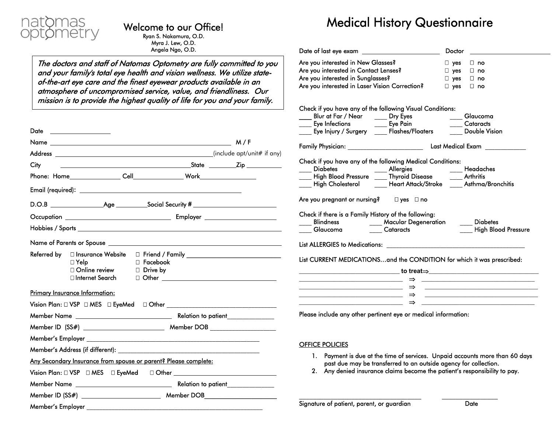## Welcome to our Office! Ryan S. Nakamura, O.D. Myra J. Lew, O.D. Angela Ngo, O.D.

The doctors and staff of Natomas Optometry are fully committed to you and your family's total eye health and vision wellness. We utilize stateof-the-art eye care and the finest eyewear products available in an atmosphere of uncompromised service, value, and friendliness. Our mission is to provide the highest quality of life for you and your family.

| City |                                                                                                        |                                    |  |                                    |
|------|--------------------------------------------------------------------------------------------------------|------------------------------------|--|------------------------------------|
|      |                                                                                                        |                                    |  |                                    |
|      |                                                                                                        |                                    |  |                                    |
|      |                                                                                                        |                                    |  |                                    |
|      |                                                                                                        |                                    |  |                                    |
|      |                                                                                                        |                                    |  |                                    |
|      |                                                                                                        |                                    |  |                                    |
|      | $Reference$ by $\Box$ Insurance Website<br>$\Box$ Yelp<br>$\square$ Online review<br>□ Internet Search | $\Box$ Facebook<br>$\Box$ Drive by |  | $\Box$ $\Box$                      |
|      | Primary Insurance Information:                                                                         |                                    |  |                                    |
|      |                                                                                                        |                                    |  |                                    |
|      |                                                                                                        |                                    |  |                                    |
|      |                                                                                                        |                                    |  |                                    |
|      |                                                                                                        |                                    |  |                                    |
|      |                                                                                                        |                                    |  |                                    |
|      | Any Secondary Insurance from spouse or parent? Please complete:                                        |                                    |  |                                    |
|      |                                                                                                        |                                    |  |                                    |
|      |                                                                                                        |                                    |  |                                    |
|      | Member Name ______________________________                                                             |                                    |  | Relation to patient_______________ |

## Medical History Questionnaire

|                                                                                                                                                                                                                                                        | <b>Doctor</b>                                                                                                        |  |
|--------------------------------------------------------------------------------------------------------------------------------------------------------------------------------------------------------------------------------------------------------|----------------------------------------------------------------------------------------------------------------------|--|
| Are you interested in New Glasses?                                                                                                                                                                                                                     | $\Box$ yes $\Box$ no                                                                                                 |  |
| Are you interested in Contact Lenses?                                                                                                                                                                                                                  | $\Box$ yes $\Box$ no                                                                                                 |  |
| Are you interested in Sunglasses?                                                                                                                                                                                                                      | $\Box$ yes<br>$\square$ no                                                                                           |  |
| Are you interested in Laser Vision Correction?                                                                                                                                                                                                         | $\Box$ yes<br>$\Box$ no                                                                                              |  |
| Check if you have any of the following Visual Conditions:                                                                                                                                                                                              |                                                                                                                      |  |
|                                                                                                                                                                                                                                                        |                                                                                                                      |  |
| Check if you have any of the following Medical Conditions:<br>____ Diabetes         Allergies       Headaches<br>____ High Blood Pressure    Thyroid Disease      Arthritis<br>____ High Cholesterol ______ Heart Attack/Stroke ____ Asthma/Bronchitis |                                                                                                                      |  |
| Are you pregnant or nursing? $\Box$ yes $\Box$ no                                                                                                                                                                                                      |                                                                                                                      |  |
| Check if there is a Family History of the following:<br>___ Blindness __________ Macular Degeneration<br>Glaucoma<br><b>Cataracts</b>                                                                                                                  | <b>Diabetes</b><br>High Blood Pressure                                                                               |  |
|                                                                                                                                                                                                                                                        |                                                                                                                      |  |
| List CURRENT MEDICATIONSand the CONDITION for which it was prescribed:                                                                                                                                                                                 |                                                                                                                      |  |
| $\mathsf{c}$ to treat $\Rightarrow$                                                                                                                                                                                                                    |                                                                                                                      |  |
| ⇒<br>the control of the control of the control of the control of the control of the control of                                                                                                                                                         | <u> 1980 - Jan Stein Stein Stein Stein Stein Stein Stein Stein Stein Stein Stein Stein Stein Stein Stein Stein S</u> |  |
| <u> 1980 - Jan Stein Harry Stein Harry Stein Harry Stein Harry Stein Harry Stein Harry Stein Harry Stein Harry St</u><br>$\Rightarrow$                                                                                                                 |                                                                                                                      |  |
| the control of the control of the control of the control of the control of<br>$\Rightarrow$                                                                                                                                                            | <u> 1980 - Johann Stein, marwolaethau a bhann an t-Amhain an t-Amhain an t-Amhain an t-Amhain an t-Amhain an t-A</u> |  |
| $\Rightarrow$                                                                                                                                                                                                                                          |                                                                                                                      |  |
| Please include any other pertinent eye or medical information:                                                                                                                                                                                         |                                                                                                                      |  |
|                                                                                                                                                                                                                                                        |                                                                                                                      |  |
|                                                                                                                                                                                                                                                        |                                                                                                                      |  |
|                                                                                                                                                                                                                                                        |                                                                                                                      |  |
| <b>OFFICE POLICIES</b>                                                                                                                                                                                                                                 |                                                                                                                      |  |

- 1. Payment is due at the time of services. Unpaid accounts more than 60 days past due may be transferred to an outside agency for collection.
- 2. Any denied insurance claims become the patient's responsibility to pay.

\_\_\_\_\_\_\_\_\_\_\_\_\_\_\_\_\_\_\_\_\_\_\_\_\_\_\_\_\_\_\_\_\_\_\_ \_\_\_\_\_\_\_\_\_\_\_\_\_\_\_\_